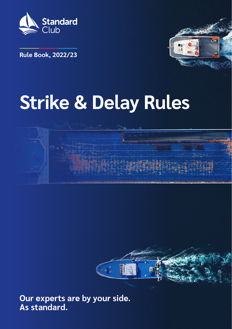

**Rule Book, 2022/23**



# **Strike & Delay Rules**



**Our experts are by your side. As standard.**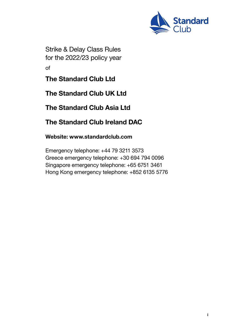

Strike & Delay Class Rules for the 2022/23 policy year of

The Standard Club Ltd

The Standard Club UK Ltd

The Standard Club Asia Ltd

The Standard Club Ireland DAC

Website: www.standardclub.com

Emergency telephone: +44 79 3211 3573 Greece emergency telephone: +30 694 794 0096 Singapore emergency telephone: +65 6751 3461 Hong Kong emergency telephone: +852 6135 5776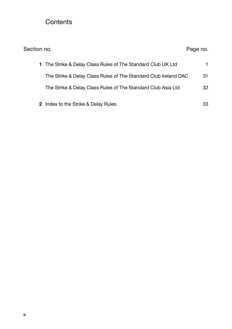#### **Contents**

| Section no.                                                     | Page no. |
|-----------------------------------------------------------------|----------|
| 1 The Strike & Delay Class Rules of The Standard Club UK Ltd    | 1.       |
| The Strike & Delay Class Rules of The Standard Club Ireland DAC | 31       |
| The Strike & Delay Class Rules of The Standard Club Asia Ltd    | 32       |
| 2 Index to the Strike & Delay Rules                             | 33       |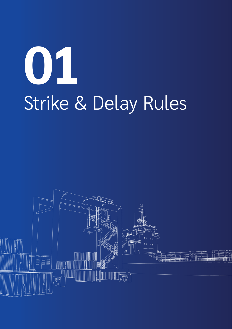# **01** Strike & Delay Rules

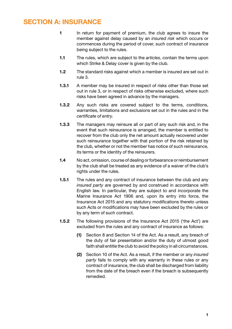#### SECTION A: INSURANCE

- 1 In return for payment of premium, the club agrees to insure the member against delay caused by an *insured risk* which occurs or commences during the period of cover, such contract of insurance being subject to the rules.
- 1.1 The rules, which are subject to the *articles*, contain the terms upon which Strike & Delay cover is given by the club.
- 1.2 The standard risks against which a member is insured are set out in rule 3.
- 1.3.1 A member may be insured in respect of risks other than those set out in rule 3, or in respect of risks otherwise excluded, where such risks have been agreed in advance by the managers.
- 1.3.2 Any such risks are covered subject to the terms, conditions, warranties, limitations and exclusions set out in the rules and in the *certificate of entry*.
- 1.3.3 The managers may reinsure all or part of any such risk and, in the event that such reinsurance is arranged, the member is entitled to recover from the club only the net amount actually recovered under such reinsurance together with that portion of the risk retained by the club, whether or not the member has notice of such reinsurance, its terms or the identity of the reinsurers.
- 1.4 No act, omission, course of dealing or forbearance or reimbursement by the club shall be treated as any evidence of a waiver of the club's rights under the rules.
- 1.5.1 The rules and any contract of insurance between the club and any *insured party* are governed by and construed in accordance with English law. In particular, they are subject to and incorporate the Marine Insurance Act 1906 and, upon its entry into force, the Insurance Act 2015 and any statutory modifications thereto unless such Acts or modifications may have been excluded by the rules or by any term of such contract.
- 1.5.2 The following provisions of the Insurance Act 2015 ('the Act') are excluded from the rules and any contract of insurance as follows:
	- (1) Section 8 and Section 14 of the Act. As a result, any breach of the duty of fair presentation and/or the duty of utmost good faith shall entitle the club to avoid the policy in all circumstances.
	- (2) Section 10 of the Act. As a result, if the member or any *insured party* fails to comply with any warranty in these rules or any contract of insurance, the club shall be discharged from liability from the date of the breach even if the breach is subsequently remedied.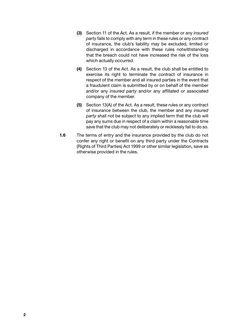- (3) Section 11 of the Act. As a result, if the member or any *insured party* fails to comply with any term in these rules or any contract of insurance, the club's liability may be excluded, limited or discharged in accordance with these rules notwithstanding that the breach could not have increased the risk of the loss which actually occurred.
- (4) Section 13 of the Act. As a result, the club shall be entitled to exercise its right to terminate the contract of insurance in respect of the member and all insured parties in the event that a fraudulent claim is submitted by or on behalf of the member and/or any *insured party* and/or any affiliated or associated company of the member.
- (5) Section 13(A) of the Act. As a result, these rules or any contract of insurance between the club, the member and any *insured party* shall not be subject to any implied term that the club will pay any sums due in respect of a claim within a reasonable time save that the club may not deliberately or recklessly fail to do so.
- 1.6 The terms of entry and the insurance provided by the club do not confer any right or benefit on any third party under the Contracts (Rights of Third Parties) Act 1999 or other similar legislation, save as otherwise provided in the rules.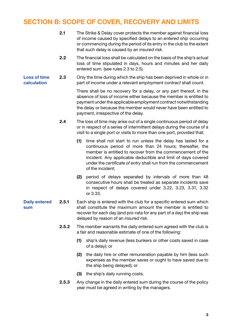#### SECTION B: SCOPE OF COVER, RECOVERY AND LIMITS

- 2.1 The Strike & Delay cover protects the member against financial loss of income caused by specified delays to an *entered ship* occurring or commencing during the period of its entry in the club to the extent that such delay is caused by an *insured risk*.
	- 2.2 The financial loss shall be calculated on the basis of the ship's actual loss of time stipulated in days, hours and minutes and her daily entered sum. (see rules 2.3 to 2.5).
- Loss of time calculation 2.3 Only the time during which the ship has been deprived in whole or in part of income under a relevant *employment contract* shall count.

There shall be no recovery for a delay, or any part thereof, in the absence of loss of income either because the member is entitled to payment under the applicable *employment contract* notwithstanding the delay or because the member would never have been entitled to payment, irrespective of the delay.

- 2.4 The loss of time may arise out of a single continuous period of delay or in respect of a series of intermittent delays during the course of a visit to a single port or visits to more than one port, provided that:
	- (1) time shall not start to run unless the delay has lasted for a continuous period of more than 24 hours; thereafter, the member is entitled to recover from the commencement of the incident. Any applicable deductible and limit of days covered under the *certificate of entry* shall run from the commencement of the incident;
	- (2) period of delays separated by intervals of more than 48 consecutive hours shall be treated as separate incidents save in respect of delays covered under 3.22, 3.23, 3.31, 3.32 or 3.33.
- Daily entered sum 2.5.1 Each ship is entered with the club for a specific entered sum which shall constitute the maximum amount the member is entitled to recover for each day (and pro-rata for any part of a day) the ship was delayed by reason of an *insured risk*.
	- 2.5.2 The member warrants the daily entered sum agreed with the club is a fair and reasonable estimate of one of the following:
		- (1) ship's daily revenue (less bunkers or other costs saved in case of a delay); or
		- (2) the daily hire or other remuneration payable by him (less such expenses as the member saves or ought to have saved due to the ship being delayed); or
		- (3) the ship's daily running costs.
	- 2.5.3 Any change in the daily entered sum during the course of the policy year must be agreed in writing by the managers.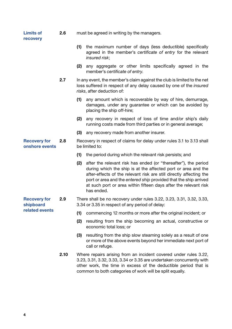| <b>Limits of</b><br>recovery                       | 2.6  | must be agreed in writing by the managers. |                                                                                                                                                                                                                                                                                                                                                               |  |  |
|----------------------------------------------------|------|--------------------------------------------|---------------------------------------------------------------------------------------------------------------------------------------------------------------------------------------------------------------------------------------------------------------------------------------------------------------------------------------------------------------|--|--|
|                                                    |      | (1)                                        | the maximum number of days (less deductible) specifically<br>agreed in the member's certificate of entry for the relevant<br>insured risk:                                                                                                                                                                                                                    |  |  |
|                                                    |      |                                            | (2) any aggregate or other limits specifically agreed in the<br>member's certificate of entry.                                                                                                                                                                                                                                                                |  |  |
|                                                    | 2.7  |                                            | In any event, the member's claim against the club is limited to the net<br>loss suffered in respect of any delay caused by one of the insured<br>risks, after deduction of:                                                                                                                                                                                   |  |  |
|                                                    |      | (1)                                        | any amount which is recoverable by way of hire, demurrage,<br>damages, under any guarantee or which can be avoided by<br>placing the ship off-hire;                                                                                                                                                                                                           |  |  |
|                                                    |      | (2)                                        | any recovery in respect of loss of time and/or ship's daily<br>running costs made from third parties or in general average;                                                                                                                                                                                                                                   |  |  |
|                                                    |      | (3)                                        | any recovery made from another insurer.                                                                                                                                                                                                                                                                                                                       |  |  |
| <b>Recovery for</b><br>onshore events              | 2.8  |                                            | Recovery in respect of claims for delay under rules 3.1 to 3.13 shall<br>be limited to:                                                                                                                                                                                                                                                                       |  |  |
|                                                    |      | (1)                                        | the period during which the relevant risk persists; and                                                                                                                                                                                                                                                                                                       |  |  |
|                                                    |      | (2)                                        | after the relevant risk has ended (or "thereafter"), the period<br>during which the ship is at the affected port or area and the<br>after-effects of the relevant risk are still directly affecting the<br>port or area and the entered ship provided that the ship arrived<br>at such port or area within fifteen days after the relevant risk<br>has ended. |  |  |
| <b>Recovery for</b><br>shipboard<br>related events | 2.9  |                                            | There shall be no recovery under rules 3.22, 3.23, 3.31, 3.32, 3.33,<br>3.34 or 3.35 in respect of any period of delay:                                                                                                                                                                                                                                       |  |  |
|                                                    |      | (1)                                        | commencing 12 months or more after the original incident; or                                                                                                                                                                                                                                                                                                  |  |  |
|                                                    |      | (2)                                        | resulting from the ship becoming an actual, constructive or<br>economic total loss; or                                                                                                                                                                                                                                                                        |  |  |
|                                                    |      | (3)                                        | resulting from the ship slow steaming solely as a result of one<br>or more of the above events beyond her immediate next port of<br>call or refuge.                                                                                                                                                                                                           |  |  |
|                                                    | 2.10 |                                            | Where repairs arising from an incident covered under rules 3.22,<br>3.23, 3.31, 3.32, 3.33, 3.34 or 3.35 are undertaken concurrently with<br>other work, the time in excess of the deductible period that is<br>common to both categories of work will be split equally.                                                                                      |  |  |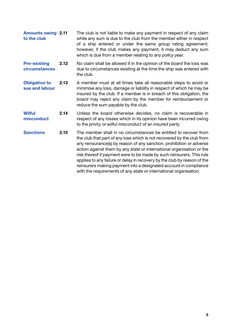| <b>Amounts owing 2.11</b> | The club is not liable to make any payment in respect of any claim<br>while any sum is due to the club from the member either in respect<br>of a ship entered or under the same group rating agreement;<br>however, if the club makes any payment, it may deduct any sum<br>which is due from a member relating to any policy year.                                                                                                                                                                                                                                                        |
|---------------------------|--------------------------------------------------------------------------------------------------------------------------------------------------------------------------------------------------------------------------------------------------------------------------------------------------------------------------------------------------------------------------------------------------------------------------------------------------------------------------------------------------------------------------------------------------------------------------------------------|
| 2.12                      | No claim shall be allowed if in the opinion of the board the loss was<br>due to circumstances existing at the time the ship was entered with<br>the club.                                                                                                                                                                                                                                                                                                                                                                                                                                  |
| 2.13                      | A member must at all times take all reasonable steps to avoid or<br>minimise any loss, damage or liability in respect of which he may be<br>insured by the club. If a member is in breach of this obligation, the<br>board may reject any claim by the member for reimbursement or<br>reduce the sum payable by the club.                                                                                                                                                                                                                                                                  |
| 2.14                      | Unless the board otherwise decides, no claim is recoverable in<br>respect of any losses which in its opinion have been incurred owing<br>to the privity or wilful misconduct of an insured party.                                                                                                                                                                                                                                                                                                                                                                                          |
| 2.15                      | The member shall in no circumstances be entitled to recover from<br>the club that part of any loss which is not recovered by the club from<br>any reinsurance(s) by reason of any sanction, prohibition or adverse<br>action against them by any state or international organisation or the<br>risk thereof if payment were to be made by such reinsurers. This rule<br>applies to any failure or delay in recovery by the club by reason of the<br>reinsurers making payment into a designated account in compliance<br>with the requirements of any state or international organisation. |
|                           |                                                                                                                                                                                                                                                                                                                                                                                                                                                                                                                                                                                            |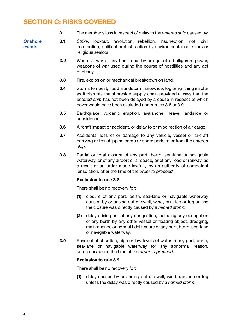# SECTION C: RISKS COVERED

|                          | З   |       | The member's loss in respect of delay to the entered ship caused by:                                                                                                                                                                                                      |
|--------------------------|-----|-------|---------------------------------------------------------------------------------------------------------------------------------------------------------------------------------------------------------------------------------------------------------------------------|
| <b>Onshore</b><br>events | 3.1 |       | Strike, lockout, revolution, rebellion, insurrection, riot,<br>civil<br>commotion, political protest, action by environmental objectors or<br>religious zealots.                                                                                                          |
|                          | 3.2 |       | War, civil war or any hostile act by or against a belligerent power,<br>weapons of war used during the course of hostilities and any act<br>of piracy.                                                                                                                    |
|                          | 3.3 |       | Fire, explosion or mechanical breakdown on land.                                                                                                                                                                                                                          |
|                          | 3.4 |       | Storm, tempest, flood, sandstorm, snow, ice, fog or lightning insofar<br>as it disrupts the shoreside supply chain provided always that the<br>entered ship has not been delayed by a cause in respect of which<br>cover would have been excluded under rules 3.8 or 3.9. |
|                          | 3.5 |       | Earthquake, volcanic eruption, avalanche, heave, landslide or<br>subsidence.                                                                                                                                                                                              |
|                          | 3.6 |       | Aircraft impact or accident, or delay to or misdirection of air cargo.                                                                                                                                                                                                    |
|                          | 3.7 | ship. | Accidental loss of or damage to any vehicle, vessel or aircraft<br>carrying or transhipping cargo or spare parts to or from the entered                                                                                                                                   |
|                          | 3.8 |       | Partial or total closure of any port, berth, sea-lane or navigable<br>waterway, or of any airport or airspace, or of any road or railway, as<br>a result of an order made lawfully by an authority of competent<br>jurisdiction, after the time of the order to proceed.  |
|                          |     |       | <b>Exclusion to rule 3.8</b>                                                                                                                                                                                                                                              |
|                          |     |       | There shall be no recovery for:                                                                                                                                                                                                                                           |
|                          |     | (1)   | closure of any port, berth, sea-lane or navigable waterway<br>caused by or arising out of swell, wind, rain, ice or fog unless<br>the closure was directly caused by a named storm;                                                                                       |
|                          |     |       | (2) delay arising out of any congestion, including any occupation<br>of any berth by any other vessel or floating object, dredging,<br>maintenance or normal tidal feature of any port, berth, sea-lane<br>or navigable waterway.                                         |
|                          | 3.9 |       | Physical obstruction, high or low levels of water in any port, berth,<br>sea-lane or navigable waterway for any abnormal reason,<br>unforeseeable at the time of the order to proceed.                                                                                    |
|                          |     |       | <b>Exclusion to rule 3.9</b>                                                                                                                                                                                                                                              |
|                          |     |       | There shall be no recovery for:                                                                                                                                                                                                                                           |
|                          |     | (1)   | delay caused by or arising out of swell, wind, rain, ice or fog<br>unless the delay was directly caused by a named storm;                                                                                                                                                 |
|                          |     |       |                                                                                                                                                                                                                                                                           |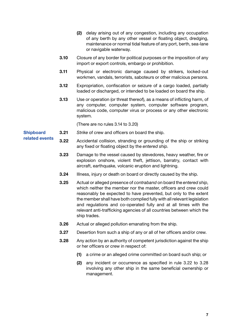- (2) delay arising out of any congestion, including any occupation of any berth by any other vessel or floating object, dredging, maintenance or normal tidal feature of any port, berth, sea-lane or navigable waterway.
- 3.10 Closure of any border for political purposes or the imposition of any import or export controls, embargo or prohibition.
- 3.11 Physical or electronic damage caused by strikers, locked-out workmen, vandals, terrorists, saboteurs or other malicious persons.
- 3.12 Expropriation, confiscation or seizure of a cargo loaded, partially loaded or discharged, or intended to be loaded on board the ship.
- 3.13 Use or operation (or threat thereof), as a means of inflicting harm, of any computer, computer system, computer software program, malicious code, computer virus or process or any other electronic system.

(There are no rules 3.14 to 3.20)

- **Shipboard** 3.21 *Strike* of crew and officers on board the ship.
	- 3.22 Accidental collision, stranding or grounding of the ship or striking any fixed or floating object by the *entered ship*.
		- 3.23 Damage to the vessel caused by stevedores, heavy weather, fire or explosion onshore, violent theft, jettison, barratry, contact with aircraft, earthquake, volcanic eruption and lightning.
		- 3.24 Illness, injury or death on board or directly caused by the ship.
		- 3.25 Actual or alleged presence of *contraband* on board the *entered ship*, which neither the member nor the master, officers and crew could reasonably be expected to have prevented, but only to the extent the member shall have both complied fully with all relevant legislation and regulations and co-operated fully and at all times with the relevant anti-trafficking agencies of all countries between which the ship trades.
		- 3.26 Actual or alleged pollution emanating from the ship.
		- 3.27 Desertion from such a ship of any or all of her officers and/or crew.
		- 3.28 Any action by an authority of competent jurisdiction against the ship or her officers or crew in respect of:
			- (1) a crime or an alleged crime committed on board such ship; or
			- (2) any incident or occurrence as specified in rule 3.22 to 3.28 involving any other ship in the same beneficial ownership or management.

related events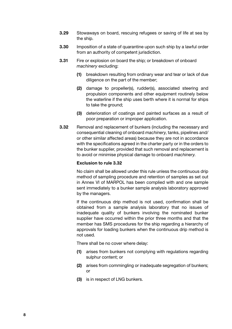- 3.29 Stowaways on board, rescuing refugees or saving of life at sea by the ship.
- 3.30 Imposition of a state of quarantine upon such ship by a lawful order from an authority of competent jurisdiction.
- 3.31 Fire or explosion on board the ship; or breakdown of onboard *machinery* excluding:
	- (1) breakdown resulting from ordinary wear and tear or lack of due diligence on the part of the member;
	- (2) damage to propeller(s), rudder(s), associated steering and propulsion components and other equipment routinely below the waterline if the ship uses berth where it is normal for ships to take the ground;
	- (3) deterioration of coatings and painted surfaces as a result of poor preparation or improper application.
- **3.32** Removal and replacement of bunkers (including the necessary and consequential cleaning of onboard *machinery*, tanks, pipelines and/ or other similar affected areas) because they are not in accordance with the specifications agreed in the charter party or in the orders to the bunker supplier, provided that such removal and replacement is to avoid or minimise physical damage to onboard *machinery*.

#### Exclusion to rule 3.32

No claim shall be allowed under this rule unless the continuous drip method of sampling procedure and retention of samples as set out in Annex VI of MARPOL has been complied with and one sample sent immediately to a bunker sample analysis laboratory approved by the managers.

If the continuous drip method is not used, confirmation shall be obtained from a sample analysis laboratory that no issues of inadequate quality of bunkers involving the nominated bunker supplier have occurred within the prior three months and that the member has SMS procedures for the ship regarding a hierarchy of approvals for loading bunkers when the continuous drip method is not used.

There shall be no cover where delay:

- (1) arises from bunkers not complying with regulations regarding sulphur content; or
- (2) arises from commingling or inadequate segregation of bunkers; or
- (3) is in respect of LNG bunkers.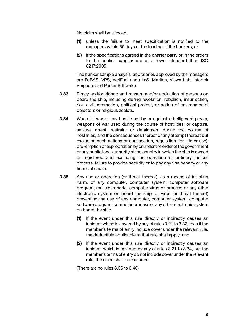No claim shall be allowed:

- (1) unless the failure to meet specification is notified to the managers within 60 days of the loading of the bunkers; or
- (2) if the specifications agreed in the charter party or in the orders to the bunker supplier are of a lower standard than ISO 8217:2005.

The bunker sample analysis laboratories approved by the managers are FoBAS, VPS, VeriFuel and nkcS, Maritec, Viswa Lab, Intertek Shipcare and Parker Kittiwake.

- 3.33 Piracy and/or kidnap and ransom and/or abduction of persons on board the ship, including during revolution, rebellion, insurrection, riot, civil commotion, political protest, or action of environmental objectors or religious zealots.
- 3.34 War, civil war or any hostile act by or against a belligerent power. weapons of war used during the course of hostilities; or capture, seizure, arrest, restraint or detainment during the course of hostilities, and the consequences thereof or any attempt thereat but excluding such actions or confiscation, requisition (for title or use). pre-emption or expropriation by or under the order of the government or any public local authority of the country in which the ship is owned or registered and excluding the operation of ordinary judicial process, failure to provide security or to pay any fine penalty or any financial cause.
- 3.35 Any use or operation (or threat thereof), as a means of inflicting harm, of any computer, computer system, computer software program, malicious code, computer virus or process or any other electronic system on board the ship; or virus (or threat thereof) preventing the use of any computer, computer system, computer software program, computer process or any other electronic system on board the ship.
	- (1) If the event under this rule directly or indirectly causes an incident which is covered by any of rules 3.21 to 3.32, then if the member's terms of entry include cover under the relevant rule, the deductible applicable to that rule shall apply; and
	- (2) If the event under this rule directly or indirectly causes an incident which is covered by any of rules 3.21 to 3.34, but the member's terms of entry do not include cover under the relevant rule, the claim shall be excluded.

(There are no rules 3.36 to 3.40)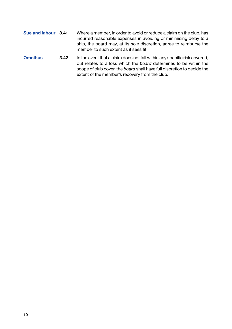- Sue and labour 3.41 Where a member, in order to avoid or reduce a claim on the club, has incurred reasonable expenses in avoiding or minimising delay to a ship, the board may, at its sole discretion, agree to reimburse the member to such extent as it sees fit.
- Omnibus 3.42 In the event that a claim does not fall within any specific risk covered, but relates to a loss which the *board* determines to be within the scope of club cover, the *board* shall have full discretion to decide the extent of the member's recovery from the club.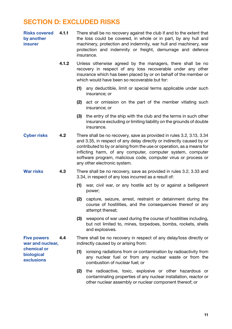#### SECTION D: EXCLUDED RISKS

| Risks covered 4.1.1 | There shall be no recovery against the club if and to the extent that                                                                        |
|---------------------|----------------------------------------------------------------------------------------------------------------------------------------------|
| by another          | the loss could be covered, in whole or in part, by any hull and                                                                              |
| <i>insurer</i>      | machinery, protection and indemnity, war hull and machinery, war<br>protection and indemnity or freight, demurrage and defence<br>insurance. |

- 4.1.2 Unless otherwise agreed by the managers, there shall be no recovery in respect of any loss recoverable under any other insurance which has been placed by or on behalf of the member or which would have been so recoverable but for:
	- (1) any deductible, limit or special terms applicable under such insurance; or
	- (2) act or omission on the part of the member vitiating such insurance; or
	- (3) the entry of the ship with the club and the terms in such other insurance excluding or limiting liability on the grounds of double insurance.
- Cyber risks 4.2 There shall be no recovery, save as provided in rules 3.2, 3.13, 3.34 and 3.35, in respect of any delay directly or indirectly caused by or contributed to by or arising from the use or operation, as a means for inflicting harm, of any computer, computer system, computer software program, malicious code, computer virus or process or any other electronic system.
- War risks 4.3 There shall be no recovery, save as provided in rules 3.2, 3.33 and 3.34, in respect of any loss incurred as a result of:
	- (1) war, civil war, or any hostile act by or against a belligerent power;
	- (2) capture, seizure, arrest, restraint or detainment during the course of hostilities, and the consequences thereof or any attempt thereat;
	- (3) weapons of war used during the course of hostilities including, but not limited to, mines, torpedoes, bombs, rockets, shells and explosives.

Five powers war and nuclear, chemical or biological exclusions

- 4.4 There shall be no recovery in respect of any delay/loss directly or indirectly caused by or arising from:
	- (1) ionising radiations from or contamination by radioactivity from any nuclear fuel or from any nuclear waste or from the combustion of nuclear fuel; or
	- (2) the radioactive, toxic, explosive or other hazardous or contaminating properties of any nuclear installation, reactor or other nuclear assembly or nuclear component thereof; or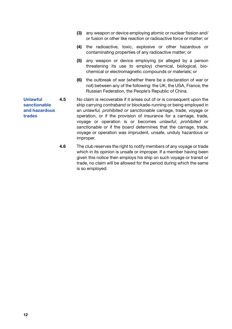- (3) any weapon or device employing atomic or nuclear fission and/ or fusion or other like reaction or radioactive force or matter; or
- (4) the radioactive, toxic, explosive or other hazardous or contaminating properties of any radioactive matter; or
- (5) any weapon or device employing (or alleged by a person threatening its use to employ) chemical, biological, biochemical or electromagnetic compounds or materials; or
- (6) the outbreak of war (whether there be a declaration of war or not) between any of the following: the UK, the USA, France, the Russian Federation, the People's Republic of China.

Unlawful 4.5 No claim is recoverable if it arises out of or is consequent upon the ship carrying *contraband* or blockade-running or being employed in an *unlawful, prohibited or sanctionable* carriage, trade, voyage or operation, or if the provision of insurance for a carriage, trade, voyage or operation is or becomes *unlawful, prohibited or sanctionable* or if the *board* determines that the carriage, trade, voyage or operation was imprudent, unsafe, unduly hazardous or improper.

> 4.6 The club reserves the right to notify members of any voyage or trade which in its opinion is unsafe or improper. If a member having been given this notice then employs his ship on such voyage or transit or trade, no claim will be allowed for the period during which the same is so employed.

sanctionable and hazardous trades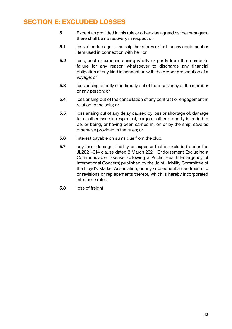# SECTION E: EXCLUDED LOSSES

- 5 Except as provided in this rule or otherwise agreed by the managers, there shall be no recovery in respect of:
- 5.1 loss of or damage to the ship, her stores or fuel, or any equipment or item used in connection with her; or
- 5.2 loss, cost or expense arising wholly or partly from the member's failure for any reason whatsoever to discharge any financial obligation of any kind in connection with the proper prosecution of a voyage; or
- 5.3 loss arising directly or indirectly out of the insolvency of the member or any person; or
- 5.4 loss arising out of the cancellation of any contract or engagement in relation to the ship; or
- 5.5 loss arising out of any delay caused by loss or shortage of, damage to, or other issue in respect of, cargo or other property intended to be, or being, or having been carried in, on or by the ship, save as otherwise provided in the rules; or
- 5.6 interest payable on sums due from the club.
- 5.7 any loss, damage, liability or expense that is excluded under the JL2021-014 clause dated 8 March 2021 (Endorsement Excluding a Communicable Disease Following a Public Health Emergency of International Concern) published by the Joint Liability Committee of the Lloyd's Market Association, or any subsequent amendments to or revisions or replacements thereof, which is hereby incorporated into these rules.
- 5.8 loss of freight.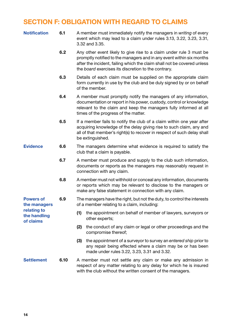# SECTION F: OBLIGATION WITH REGARD TO CLAIMS

| <b>Notification</b>                      | 6.1  | A member must immediately notify the managers in writing of every<br>event which may lead to a claim under rules 3.13, 3.22, 3.23, 3.31,<br>3.32 and 3.35.                                                                                                                    |
|------------------------------------------|------|-------------------------------------------------------------------------------------------------------------------------------------------------------------------------------------------------------------------------------------------------------------------------------|
|                                          | 6.2  | Any other event likely to give rise to a claim under rule 3 must be<br>promptly notified to the managers and in any event within six months<br>after the incident, failing which the claim shall not be covered unless<br>the board exercises its discretion to the contrary. |
|                                          | 6.3  | Details of each claim must be supplied on the appropriate claim<br>form currently in use by the club and be duly signed by or on behalf<br>of the member.                                                                                                                     |
|                                          | 6.4  | A member must promptly notify the managers of any information,<br>documentation or report in his power, custody, control or knowledge<br>relevant to the claim and keep the managers fully informed at all<br>times of the progress of the matter.                            |
|                                          | 6.5  | If a member fails to notify the club of a claim within one year after<br>acquiring knowledge of the delay giving rise to such claim, any and<br>all of that member's right(s) to recover in respect of such delay shall<br>be extinguished.                                   |
| <b>Evidence</b>                          | 6.6  | The managers determine what evidence is required to satisfy the<br>club that a claim is payable.                                                                                                                                                                              |
|                                          | 6.7  | A member must produce and supply to the club such information,<br>documents or reports as the managers may reasonably request in<br>connection with any claim.                                                                                                                |
|                                          | 6.8  | A member must not withhold or conceal any information, documents<br>or reports which may be relevant to disclose to the managers or<br>make any false statement in connection with any claim.                                                                                 |
| <b>Powers of</b><br>the managers         | 6.9  | The managers have the right, but not the duty, to control the interests<br>of a member relating to a claim, including:                                                                                                                                                        |
| relating to<br>the handling<br>of claims |      | (1)<br>the appointment on behalf of member of lawyers, surveyors or<br>other experts;                                                                                                                                                                                         |
|                                          |      | the conduct of any claim or legal or other proceedings and the<br>(2)<br>compromise thereof;                                                                                                                                                                                  |
|                                          |      | (3)<br>the appointment of a surveyor to survey an entered ship prior to<br>any repair being effected where a claim may be or has been<br>made under rules 3.22, 3.23, 3.31 and 3.32.                                                                                          |
| <b>Settlement</b>                        | 6.10 | A member must not settle any claim or make any admission in<br>respect of any matter relating to any delay for which he is insured                                                                                                                                            |

with the club without the written consent of the managers.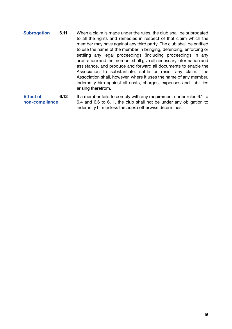Subrogation 6.11 When a claim is made under the rules, the club shall be subrogated to all the rights and remedies in respect of that claim which the member may have against any third party. The club shall be entitled to use the name of the member in bringing, defending, enforcing or settling any legal proceedings (including proceedings in any arbitration) and the member shall give all necessary information and assistance, and produce and forward all documents to enable the Association to substantiate, settle or resist any claim. The Association shall, however, where it uses the name of any member, indemnify him against all costs, charges, expenses and liabilities arising therefrom.

Effect of non-compliance 6.12 If a member fails to comply with any requirement under rules 6.1 to 6.4 and 6.6 to 6.11, the club shall not be under any obligation to indemnify him unless the *board* otherwise determines.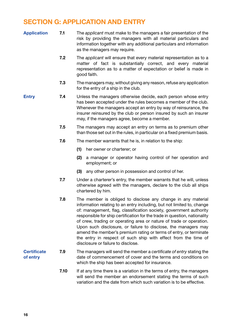# SECTION G: APPLICATION AND ENTRY

| <b>Application</b>             | 7.1  | The applicant must make to the managers a fair presentation of the<br>risk by providing the managers with all material particulars and<br>information together with any additional particulars and information<br>as the managers may require.                                                                                                                                                                                                                                                                                                                                                                  |
|--------------------------------|------|-----------------------------------------------------------------------------------------------------------------------------------------------------------------------------------------------------------------------------------------------------------------------------------------------------------------------------------------------------------------------------------------------------------------------------------------------------------------------------------------------------------------------------------------------------------------------------------------------------------------|
|                                | 7.2  | The applicant will ensure that every material representation as to a<br>matter of fact is substantially correct, and every material<br>representation as to a matter of expectation or belief is made in<br>good faith.                                                                                                                                                                                                                                                                                                                                                                                         |
|                                | 7.3  | The managers may, without giving any reason, refuse any application<br>for the entry of a ship in the club.                                                                                                                                                                                                                                                                                                                                                                                                                                                                                                     |
| <b>Entry</b>                   | 7.4  | Unless the managers otherwise decide, each person whose entry<br>has been accepted under the rules becomes a member of the club.<br>Whenever the managers accept an entry by way of reinsurance, the<br>insurer reinsured by the club or person insured by such an insurer<br>may, if the managers agree, become a member.                                                                                                                                                                                                                                                                                      |
|                                | 7.5  | The managers may accept an entry on terms as to premium other<br>than those set out in the rules, in particular on a fixed premium basis.                                                                                                                                                                                                                                                                                                                                                                                                                                                                       |
|                                | 7.6  | The member warrants that he is, in relation to the ship:                                                                                                                                                                                                                                                                                                                                                                                                                                                                                                                                                        |
|                                |      | (1)<br>her owner or charterer; or                                                                                                                                                                                                                                                                                                                                                                                                                                                                                                                                                                               |
|                                |      | (2)<br>a manager or operator having control of her operation and<br>employment; or                                                                                                                                                                                                                                                                                                                                                                                                                                                                                                                              |
|                                |      | any other person in possession and control of her.<br>(3)                                                                                                                                                                                                                                                                                                                                                                                                                                                                                                                                                       |
|                                | 7.7  | Under a charterer's entry, the member warrants that he will, unless<br>otherwise agreed with the managers, declare to the club all ships<br>chartered by him.                                                                                                                                                                                                                                                                                                                                                                                                                                                   |
|                                | 7.8  | The member is obliged to disclose any change in any material<br>information relating to an entry including, but not limited to, change<br>of: management, flag, classification society, government authority<br>responsible for ship certification for the trade in question, nationality<br>of crew, trading or operating area or nature of trade or operation.<br>Upon such disclosure, or failure to disclose, the managers may<br>amend the member's premium rating or terms of entry, or terminate<br>the entry in respect of such ship with effect from the time of<br>disclosure or failure to disclose. |
| <b>Certificate</b><br>of entry | 7.9  | The managers will send the member a certificate of entry stating the<br>date of commencement of cover and the terms and conditions on<br>which the ship has been accepted for insurance.                                                                                                                                                                                                                                                                                                                                                                                                                        |
|                                | 7.10 | If at any time there is a variation in the terms of entry, the managers<br>will send the member an endorsement stating the terms of such<br>variation and the date from which such variation is to be effective.                                                                                                                                                                                                                                                                                                                                                                                                |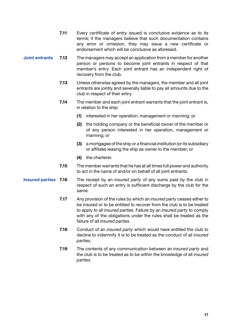- 7.11 Every *certificate of entry* issued is conclusive evidence as to its terms; if the managers believe that such documentation contains any error or omission, they may issue a new certificate or endorsement which will be conclusive as aforesaid.
- Joint entrants 7.12 The managers may accept an application from a member for another person or persons to become joint entrants in respect of that member's entry. Each joint entrant has an independent right of recovery from the club.
	- 7.13 Unless otherwise agreed by the managers, the member and all joint entrants are jointly and severally liable to pay all amounts due to the club in respect of their entry.
	- 7.14 The member and each joint entrant warrants that the joint entrant is, in relation to the ship:
		- (1) interested in her operation, management or manning; or
		- (2) the holding company or the beneficial owner of the member or of any person interested in her operation, management or manning; or
		- (3) a mortgagee of the ship or a financial institution (or its subsidiary or affiliate) leasing the ship as owner to the member; or
		- (4) the charterer.
	- 7.15 The member warrants that he has at all times full power and authority to act in the name of and/or on behalf of all joint entrants.
- Insured parties 7.16 The receipt by an *insured party* of any sums paid by the club in respect of such an entry is sufficient discharge by the club for the same.
	- 7.17 Any provision of the rules by which an *insured party* ceases either to be insured or to be entitled to recover from the club is to be treated to apply to all *insured parties*. Failure by an *insured party* to comply with any of the obligations under the rules shall be treated as the failure of all *insured parties*.
	- 7.18 Conduct of an *insured party* which would have entitled the club to decline to indemnify it is to be treated as the conduct of all *insured parties*.
	- 7.19 The contents of any communication between an *insured party* and the club is to be treated as to be within the knowledge of all *insured parties*.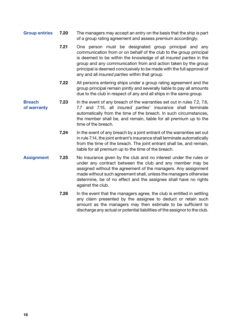- Group entries 7.20 The managers may accept an entry on the basis that the ship is part of a group rating agreement and assess premium accordingly.
	- 7.21 One person must be designated group principal and any communication from or on behalf of the club to the group principal is deemed to be within the knowledge of all *insured parties* in the group and any communication from and action taken by the group principal is deemed conclusively to be made with the full approval of any and all *insured parties* within that group.
	- 7.22 All persons entering ships under a group rating agreement and the group principal remain jointly and severally liable to pay all amounts due to the club in respect of any and all ships in the same group.
- **Breach** of warranty 7.23 In the event of any breach of the warranties set out in rules 7.2, 7.6, 7.7 and 7.15, all *insured parties*' insurance shall terminate automatically from the time of the breach. In such circumstances, the member shall be, and remain, liable for all premium up to the time of the breach.
	- **7.24** In the event of any breach by a joint entrant of the warranties set out in rule 7.14, the joint entrant's insurance shall terminate automatically from the time of the breach. The joint entrant shall be, and remain, liable for all premium up to the time of the breach.
- Assignment 7.25 No insurance given by the club and no interest under the rules or under any contract between the club and any member may be assigned without the agreement of the managers. Any assignment made without such agreement shall, unless the managers otherwise determine, be of no effect and the assignee shall have no rights against the club.
	- 7.26 In the event that the managers agree, the club is entitled in settling any claim presented by the assignee to deduct or retain such amount as the managers may then estimate to be sufficient to discharge any actual or potential liabilities of the assignor to the club.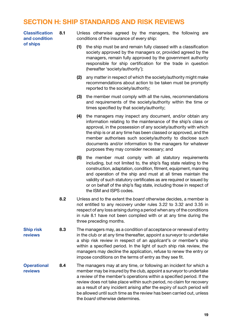#### SECTION H: SHIP STANDARDS AND RISK REVIEWS

Classification and condition of ships

8.1 Unless otherwise agreed by the managers, the following are conditions of the insurance of every ship:

- (1) the ship must be and remain fully classed with a classification society approved by the managers or, provided agreed by the managers, remain fully approved by the government authority responsible for ship certification for the trade in question (hereafter 'society/authority');
- (2) any matter in respect of which the society/authority might make recommendations about action to be taken must be promptly reported to the society/authority;
- (3) the member must comply with all the rules, recommendations and requirements of the society/authority within the time or times specified by that society/authority;
- (4) the managers may inspect any document, and/or obtain any information relating to the maintenance of the ship's class or approval, in the possession of any society/authority with which the ship is or at any time has been classed or approved, and the member authorises such society/authority to disclose such documents and/or information to the managers for whatever purposes they may consider necessary; and
- (5) the member must comply with all statutory requirements including, but not limited to, the ship's flag state relating to the construction, adaptation, condition, fitment, equipment, manning and operation of the ship and must at all times maintain the validity of such statutory certificates as are required or issued by or on behalf of the ship's flag state, including those in respect of the ISM and ISPS codes.
- 8.2 Unless and to the extent the *board* otherwise decides, a member is not entitled to any recovery under rules 3.22 to 3.32 and 3.35 in respect of any loss arising during a period when any of the conditions in rule 8.1 have not been complied with or at any time during the three preceding months.
- Ship risk reviews 8.3 The managers may, as a condition of acceptance or renewal of entry in the club or at any time thereafter, appoint a surveyor to undertake a ship risk review in respect of an *applicant*'s or member's ship within a specified period. In the light of such ship risk review, the managers may decline the application, refuse to renew the entry or impose conditions on the terms of entry as they see fit.
- **Operational** reviews 8.4 The managers may at any time, or following an incident for which a member may be insured by the club, appoint a surveyor to undertake a review of the member's operations within a specified period. If the review does not take place within such period, no claim for recovery as a result of any incident arising after the expiry of such period will be allowed until such time as the review has been carried out, unless the *board* otherwise determines.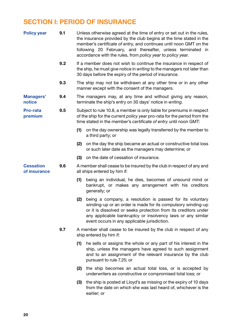# SECTION I: PERIOD OF INSURANCE

| <b>Policy year</b>               | 9.1 |                                                                                                                                                                                                                       | Unless otherwise agreed at the time of entry or set out in the rules,<br>the insurance provided by the club begins at the time stated in the<br>member's certificate of entry, and continues until noon GMT on the<br>following 20 February, and thereafter, unless terminated in<br>accordance with the rules, from policy year to policy year. |  |
|----------------------------------|-----|-----------------------------------------------------------------------------------------------------------------------------------------------------------------------------------------------------------------------|--------------------------------------------------------------------------------------------------------------------------------------------------------------------------------------------------------------------------------------------------------------------------------------------------------------------------------------------------|--|
|                                  | 9.2 |                                                                                                                                                                                                                       | If a member does not wish to continue the insurance in respect of<br>the ship, he must give notice in writing to the managers not later than<br>30 days before the expiry of the period of insurance.                                                                                                                                            |  |
|                                  | 9.3 |                                                                                                                                                                                                                       | The ship may not be withdrawn at any other time or in any other<br>manner except with the consent of the managers.                                                                                                                                                                                                                               |  |
| <b>Managers'</b><br>notice       | 9.4 |                                                                                                                                                                                                                       | The managers may, at any time and without giving any reason,<br>terminate the ship's entry on 30 days' notice in writing.                                                                                                                                                                                                                        |  |
| <b>Pro-rata</b><br>premium       | 9.5 | Subject to rule 10.8, a member is only liable for premiums in respect<br>of the ship for the current policy year pro-rata for the period from the<br>time stated in the member's certificate of entry until noon GMT: |                                                                                                                                                                                                                                                                                                                                                  |  |
|                                  |     |                                                                                                                                                                                                                       | (1) on the day ownership was legally transferred by the member to<br>a third party; or                                                                                                                                                                                                                                                           |  |
|                                  |     |                                                                                                                                                                                                                       | (2) on the day the ship became an actual or constructive total loss<br>or such later date as the managers may determine; or                                                                                                                                                                                                                      |  |
|                                  |     | (3)                                                                                                                                                                                                                   | on the date of cessation of insurance.                                                                                                                                                                                                                                                                                                           |  |
| <b>Cessation</b><br>of insurance | 9.6 |                                                                                                                                                                                                                       | A member shall cease to be insured by the club in respect of any and<br>all ships entered by him if:                                                                                                                                                                                                                                             |  |
|                                  |     | (1)                                                                                                                                                                                                                   | being an individual, he dies, becomes of unsound mind or<br>bankrupt, or makes any arrangement with his creditors<br>generally; or                                                                                                                                                                                                               |  |
|                                  |     | (2)                                                                                                                                                                                                                   | being a company, a resolution is passed for its voluntary<br>winding-up or an order is made for its compulsory winding-up<br>or it is dissolved or seeks protection from its creditors under<br>any applicable bankruptcy or insolvency laws or any similar<br>event occurs in any applicable jurisdiction.                                      |  |
|                                  | 9.7 |                                                                                                                                                                                                                       | A member shall cease to be insured by the club in respect of any<br>ship entered by him if:                                                                                                                                                                                                                                                      |  |
|                                  |     | (1)                                                                                                                                                                                                                   | he sells or assigns the whole or any part of his interest in the<br>ship, unless the managers have agreed to such assignment<br>and to an assignment of the relevant insurance by the club<br>pursuant to rule 7.25; or                                                                                                                          |  |
|                                  |     |                                                                                                                                                                                                                       | (2) the ship becomes an actual total loss, or is accepted by<br>underwriters as constructive or compromised total loss; or                                                                                                                                                                                                                       |  |
|                                  |     | (3)                                                                                                                                                                                                                   | the ship is posted at Lloyd's as missing or the expiry of 10 days<br>from the date on which she was last heard of, whichever is the<br>earlier; or                                                                                                                                                                                               |  |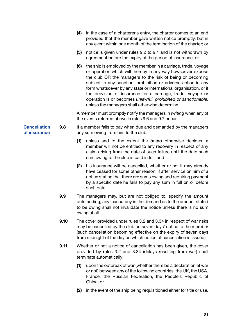|                                     |      |     | (4) in the case of a charterer's entry, the charter comes to an end<br>provided that the member gave written notice promptly, but in<br>any event within one month of the termination of the charter; or                                                                                                                                                                                                                                                                                                            |
|-------------------------------------|------|-----|---------------------------------------------------------------------------------------------------------------------------------------------------------------------------------------------------------------------------------------------------------------------------------------------------------------------------------------------------------------------------------------------------------------------------------------------------------------------------------------------------------------------|
|                                     |      | (5) | notice is given under rules 9.2 to 9.4 and is not withdrawn by<br>agreement before the expiry of the period of insurance; or                                                                                                                                                                                                                                                                                                                                                                                        |
|                                     |      | (6) | the ship is employed by the member in a carriage, trade, voyage<br>or operation which will thereby in any way howsoever expose<br>the club OR the managers to the risk of being or becoming<br>subject to any sanction, prohibition or adverse action in any<br>form whatsoever by any state or international organisation, or if<br>the provision of insurance for a carriage, trade, voyage or<br>operation is or becomes unlawful, prohibited or sanctionable,<br>unless the managers shall otherwise determine. |
|                                     |      |     | A member must promptly notify the managers in writing when any of<br>the events referred above in rules 9.6 and 9.7 occur.                                                                                                                                                                                                                                                                                                                                                                                          |
| <b>Cancellation</b><br>of insurance | 9.8  |     | If a member fails to pay when due and demanded by the managers<br>any sum owing from him to the club:                                                                                                                                                                                                                                                                                                                                                                                                               |
|                                     |      | (1) | unless and to the extent the board otherwise decides, a<br>member will not be entitled to any recovery in respect of any<br>claim arising from the date of such failure until the date such<br>sum owing to the club is paid in full; and                                                                                                                                                                                                                                                                           |
|                                     |      | (2) | his insurance will be cancelled, whether or not it may already<br>have ceased for some other reason, if after service on him of a<br>notice stating that there are sums owing and requiring payment<br>by a specific date he fails to pay any sum in full on or before<br>such date.                                                                                                                                                                                                                                |
|                                     | 9.9  |     | The managers may, but are not obliged to, specify the amount<br>outstanding; any inaccuracy in the demand as to the amount stated<br>to be owing shall not invalidate the notice unless there is no sum<br>owing at all.                                                                                                                                                                                                                                                                                            |
|                                     | 9.10 |     | The cover provided under rules 3.2 and 3.34 in respect of war risks<br>may be cancelled by the club on seven days' notice to the member<br>(such cancellation becoming effective on the expiry of seven days<br>from midnight of the day on which notice of cancellation is issued).                                                                                                                                                                                                                                |
|                                     | 9.11 |     | Whether or not a notice of cancellation has been given, the cover<br>provided by rules 3.2 and 3.34 (delays resulting from war) shall<br>terminate automatically:                                                                                                                                                                                                                                                                                                                                                   |
|                                     |      | (1) | upon the outbreak of war (whether there be a declaration of war<br>or not) between any of the following countries: the UK, the USA,<br>France, the Russian Federation, the People's Republic of<br>China; or                                                                                                                                                                                                                                                                                                        |
|                                     |      | (2) | in the event of the ship being requisitioned either for title or use.                                                                                                                                                                                                                                                                                                                                                                                                                                               |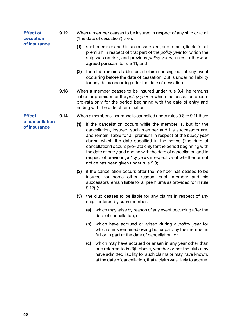| <b>Effect of</b><br>cessation<br>of insurance    | 9.12 | When a member ceases to be insured in respect of any ship or at all<br>('the date of cessation') then: |                                                                                                                                                                                                                                                           |  |  |
|--------------------------------------------------|------|--------------------------------------------------------------------------------------------------------|-----------------------------------------------------------------------------------------------------------------------------------------------------------------------------------------------------------------------------------------------------------|--|--|
|                                                  |      | (1)                                                                                                    | such member and his successors are, and remain, liable for all<br>premium in respect of that part of the policy year for which the<br>ship was on risk, and previous policy years, unless otherwise<br>agreed pursuant to rule 11; and                    |  |  |
|                                                  |      | (2)                                                                                                    | the club remains liable for all claims arising out of any event<br>occurring before the date of cessation, but is under no liability<br>for any delay occurring after the date of cessation.                                                              |  |  |
|                                                  | 9.13 |                                                                                                        | When a member ceases to be insured under rule 9.4, he remains<br>liable for premium for the <i>policy year</i> in which the cessation occurs<br>pro-rata only for the period beginning with the date of entry and<br>ending with the date of termination. |  |  |
| <b>Effect</b><br>of cancellation<br>of insurance | 9.14 |                                                                                                        | When a member's insurance is cancelled under rules 9.8 to 9.11 then:                                                                                                                                                                                      |  |  |
|                                                  |      | (1)                                                                                                    | if the cancellation occurs while the member is, but for the                                                                                                                                                                                               |  |  |

- cancellation, insured, such member and his successors are, and remain, liable for all premium in respect of the *policy year* during which the date specified in the notice ('the date of cancellation') occurs pro-rata only for the period beginning with the date of entry and ending with the date of cancellation and in respect of previous *policy years* irrespective of whether or not notice has been given under rule 9.8;
- (2) if the cancellation occurs after the member has ceased to be insured for some other reason, such member and his successors remain liable for all premiums as provided for in rule 9.12(1);
- (3) the club ceases to be liable for any claims in respect of any ships entered by such member:
	- (a) which may arise by reason of any event occurring after the date of cancellation; or
	- (b) which have accrued or arisen during a *policy year* for which sums remained owing but unpaid by the member in full or in part at the date of cancellation; or
	- (c) which may have accrued or arisen in any year other than one referred to in (3)b above, whether or not the club may have admitted liability for such claims or may have known, at the date of cancellation, that a claim was likely to accrue.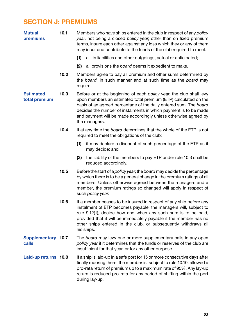# SECTION J: PREMIUMS

| <b>Mutual</b><br>premiums         | 10.1 |          | Members who have ships entered in the club in respect of any policy<br>year, not being a closed policy year, other than on fixed premium<br>terms, insure each other against any loss which they or any of them<br>may incur and contribute to the funds of the club required to meet:                                                                              |
|-----------------------------------|------|----------|---------------------------------------------------------------------------------------------------------------------------------------------------------------------------------------------------------------------------------------------------------------------------------------------------------------------------------------------------------------------|
|                                   |      | (1)      | all its liabilities and other outgoings, actual or anticipated;                                                                                                                                                                                                                                                                                                     |
|                                   |      | (2)      | all provisions the board deems it expedient to make.                                                                                                                                                                                                                                                                                                                |
|                                   | 10.2 | require. | Members agree to pay all premium and other sums determined by<br>the board, in such manner and at such time as the board may                                                                                                                                                                                                                                        |
| <b>Estimated</b><br>total premium | 10.3 |          | Before or at the beginning of each policy year, the club shall levy<br>upon members an estimated total premium (ETP) calculated on the<br>basis of an agreed percentage of the daily entered sum. The board<br>decides the number of instalments in which payment is to be made<br>and payment will be made accordingly unless otherwise agreed by<br>the managers. |
|                                   | 10.4 |          | If at any time the board determines that the whole of the ETP is not<br>required to meet the obligations of the club:                                                                                                                                                                                                                                               |
|                                   |      | (1)      | it may declare a discount of such percentage of the ETP as it<br>may decide; and                                                                                                                                                                                                                                                                                    |
|                                   |      | (2)      | the liability of the members to pay ETP under rule 10.3 shall be<br>reduced accordingly.                                                                                                                                                                                                                                                                            |
|                                   | 10.5 |          | Before the start of a <i>policy year</i> , the <i>board</i> may decide the percentage<br>by which there is to be a general change in the premium ratings of all<br>members. Unless otherwise agreed between the managers and a<br>member, the premium ratings so changed will apply in respect of<br>such policy year.                                              |
|                                   | 10.6 |          | If a member ceases to be insured in respect of any ship before any<br>instalment of ETP becomes payable, the managers will, subject to<br>rule 9.12(1), decide how and when any such sum is to be paid,<br>provided that it will be immediately payable if the member has no<br>other ships entered in the club, or subsequently withdraws all<br>his ships.        |
| Supplementary 10.7<br>calls       |      |          | The board may levy one or more supplementary calls in any open<br>policy year if it determines that the funds or reserves of the club are<br>insufficient for that year, or for any other purpose.                                                                                                                                                                  |
| Laid-up returns 10.8              |      |          | If a ship is laid-up in a safe port for 15 or more consecutive days after<br>finally mooring there, the member is, subject to rule 10.10, allowed a<br>pro-rata return of premium up to a maximum rate of 95%. Any lay-up<br>return is reduced pro-rata for any period of shifting within the port<br>during lay-up.                                                |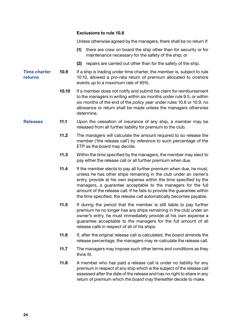#### Exclusions to rule 10.8

Unless otherwise agreed by the managers, there shall be no return if:

- (1) there are crew on board the ship other than for security or for maintenance necessary for the safety of the ship; or
- (2) repairs are carried out other than for the safety of the ship.

Time charter returns 10.9 If a ship is trading under time charter, the member is, subject to rule 10.10, allowed a pro-rata return of premium allocated to onshore events up to a maximum rate of 95%.

- 10.10 If a member does not notify and submit his claim for reimbursement to the managers in *writing* within six months under rule 9.5, or within six months of the end of the *policy year* under rules 10.8 or 10.9, no allowance or return shall be made unless the managers otherwise determine.
- Releases 11.1 Upon the cessation of insurance of any ship, a member may be released from all further liability for premium to the club.
	- 11.2 The managers will calculate the amount required to so release the member ('the release call') by reference to such percentage of the ETP as the *board* may decide.
	- 11.3 Within the time specified by the managers, the member may elect to pay either the release call or all further premium when due.
	- 11.4 If the member elects to pay all further premium when due, he must, unless he has other ships remaining in the club under an owner's entry, provide at his own expense within the time specified by the managers, a guarantee acceptable to the managers for the full amount of the release call. If he fails to provide the guarantee within the time specified, the release call automatically becomes payable.
	- 11.5 If during the period that the member is still liable to pay further premium he no longer has any ships remaining in the club under an owner's entry, he must immediately provide at his own expense a guarantee acceptable to the managers for the full amount of all release calls in respect of all of his ships.
	- 11.6 If, after the original release call is calculated, the *board* amends the release percentage, the managers may re-calculate the release call.
	- 11.7 The managers may impose such other terms and conditions as they think fit.
	- 11.8 A member who has paid a release call is under no liability for any premium in respect of any ship which is the subject of the release call assessed after the date of the release and has no right to share in any return of premium which the *board* may thereafter decide to make.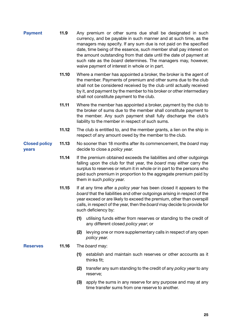- **Payment** 11.9 Any premium or other sums due shall be designated in such currency, and be payable in such manner and at such time, as the managers may specify. If any sum due is not paid on the specified date, time being of the essence, such member shall pay interest on the amount outstanding from that date until the date of payment at such rate as the *board* determines. The managers may, however, waive payment of interest in whole or in part.
	- 11.10 Where a member has appointed a broker, the broker is the agent of the member. Payments of premium and other sums due to the club shall not be considered received by the club until actually received by it, and payment by the member to his broker or other intermediary shall not constitute payment to the club.
	- 11.11 Where the member has appointed a broker, payment by the club to the broker of sums due to the member shall constitute payment to the member. Any such payment shall fully discharge the club's liability to the member in respect of such sums.
	- 11.12 The club is entitled to, and the member grants, a lien on the ship in respect of any amount owed by the member to the club.
- Closed policy years 11.13 No sooner than 18 months after its commencement, the *board* may decide to close a *policy year*.
	- 11.14 If the premium obtained exceeds the liabilities and other outgoings falling upon the club for that year, the *board* may either carry the surplus to reserves or return it in whole or in part to the persons who paid such premium in proportion to the aggregate premium paid by them in such *policy year*.
	- 11.15 If at any time after a *policy year* has been closed it appears to the *board* that the liabilities and other outgoings arising in respect of the year exceed or are likely to exceed the premium, other than overspill calls, in respect of the year, then the *board* may decide to provide for such deficiency by:
		- (1) utilising funds either from reserves or standing to the credit of any different closed *policy year*; or
		- (2) levying one or more supplementary calls in respect of any open *policy year*.
- Reserves 11.16 The *board* may:
	- (1) establish and maintain such reserves or other accounts as it thinks fit;
	- (2) transfer any sum standing to the credit of any *policy year* to any reserve;
	- (3) apply the sums in any reserve for any purpose and may at any time transfer sums from one reserve to another.

25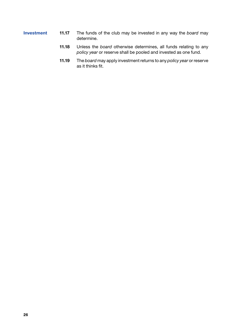- Investment 11.17 The funds of the club may be invested in any way the *board* may determine.
	- 11.18 Unless the *board* otherwise determines, all funds relating to any *policy year* or reserve shall be pooled and invested as one fund.
	- 11.19 The *board* may apply investment returns to any *policy year* or reserve as it thinks fit.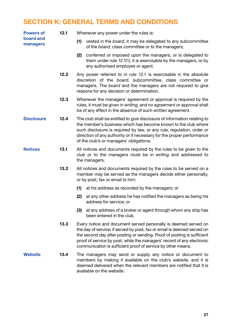### SECTION K: GENERAL TERMS AND CONDITIONS

| <b>Powers of</b><br>board and<br>managers | 12.1 | Whenever any power under the rules is:                                                                                                                                                                                                                                                                                                                          |  |  |  |
|-------------------------------------------|------|-----------------------------------------------------------------------------------------------------------------------------------------------------------------------------------------------------------------------------------------------------------------------------------------------------------------------------------------------------------------|--|--|--|
|                                           |      | vested in the board, it may be delegated to any subcommittee<br>(1)<br>of the board, class committee or to the managers;                                                                                                                                                                                                                                        |  |  |  |
|                                           |      | (2) conferred or imposed upon the managers, or is delegated to<br>them under rule 12.1(1), it is exercisable by the managers, or by<br>any authorised employee or agent.                                                                                                                                                                                        |  |  |  |
|                                           | 12.2 | Any power referred to in rule 12.1 is exercisable in the absolute<br>discretion of the board, subcommittee, class committee or<br>managers. The board and the managers are not required to give<br>reasons for any decision or determination.                                                                                                                   |  |  |  |
|                                           | 12.3 | Whenever the managers' agreement or approval is required by the<br>rules, it must be given in writing, and no agreement or approval shall<br>be of any effect in the absence of such written agreement.                                                                                                                                                         |  |  |  |
| <b>Disclosure</b>                         | 12.4 | The club shall be entitled to give disclosure of information relating to<br>the member's business which has become known to the club where<br>such disclosure is required by law, or any rule, regulation, order or<br>direction of any authority or if necessary for the proper performance<br>of the club's or managers' obligations.                         |  |  |  |
| <b>Notices</b>                            | 13.1 | All notices and documents required by the rules to be given to the<br>club or to the managers must be in writing and addressed to<br>the managers.                                                                                                                                                                                                              |  |  |  |
|                                           | 13.2 | All notices and documents required by the rules to be served on a<br>member may be served as the managers decide either personally,<br>or by post, fax or email to him:                                                                                                                                                                                         |  |  |  |
|                                           |      | (1)<br>at his address as recorded by the managers; or                                                                                                                                                                                                                                                                                                           |  |  |  |
|                                           |      | (2)<br>at any other address he has notified the managers as being his<br>address for service; or                                                                                                                                                                                                                                                                |  |  |  |
|                                           |      | at any address of a broker or agent through whom any ship has<br>(3)<br>been entered in the club.                                                                                                                                                                                                                                                               |  |  |  |
|                                           | 13.3 | Every notice and document served personally is deemed served on<br>the day of service; if served by post, fax or email is deemed served on<br>the second day after posting or sending. Proof of posting is sufficient<br>proof of service by post, while the managers' record of any electronic<br>communication is sufficient proof of service by other means. |  |  |  |
| <b>Website</b>                            | 13.4 | The managers may send or supply any notice or document to<br>members by making it available on the club's website, and it is<br>deemed delivered when the relevant members are notified that it is<br>available on the website.                                                                                                                                 |  |  |  |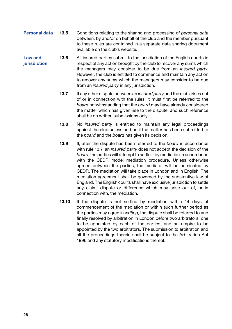- Personal data 13.5 Conditions relating to the sharing and processing of *personal data* between, by and/or on behalf of the club and the member pursuant to these rules are contained in a separate data sharing document available on the club's website.
- Law and iurisdiction 13.6 All insured parties submit to the jurisdiction of the English courts in respect of any action brought by the club to recover any sums which the managers may consider to be due from an *insured party*. However, the club is entitled to commence and maintain any action to recover any sums which the managers may consider to be due from an *insured party* in any jurisdiction.
	- 13.7 If any other dispute between an *insured party* and the club arises out of or in connection with the rules, it must first be referred to the *board* notwithstanding that the *board* may have already considered the matter which has given rise to the dispute, and such reference shall be on written submissions only.
	- 13.8 No *insured party* is entitled to maintain any legal proceedings against the club unless and until the matter has been submitted to the *board* and the *board* has given its decision.
	- 13.9 If, after the dispute has been referred to the *board* in accordance with rule 13.7, an *insured party* does not accept the decision of the *board*, the parties will attempt to settle it by mediation in accordance with the CEDR model mediation procedure. Unless otherwise agreed between the parties, the mediator will be nominated by CEDR. The mediation will take place in London and in English. The mediation agreement shall be governed by the substantive law of England. The English courts shall have exclusive jurisdiction to settle any claim, dispute or difference which may arise out of, or in connection with, the mediation.
	- 13.10 If the dispute is not settled by mediation within 14 days of commencement of the mediation or within such further period as the parties may agree in *writing*, the dispute shall be referred to and finally resolved by arbitration in London before two arbitrators, one to be appointed by each of the parties, and an umpire to be appointed by the two arbitrators. The submission to arbitration and all the proceedings therein shall be subject to the Arbitration Act 1996 and any statutory modifications thereof.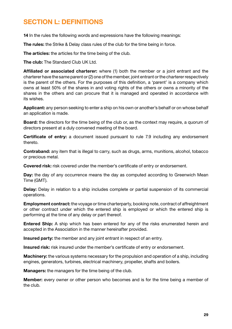# SECTION L: DEFINITIONS

14 In the rules the following words and expressions have the following meanings:

The rules: the Strike & Delay class rules of the club for the time being in force.

The articles: the articles for the time being of the club.

The club: The Standard Club UK Ltd.

Affiliated or associated charterer: where (1) both the member or a joint entrant and the charterer have the same parent or (2) one of the member, joint entrant or the charterer respectively is the parent of the others. For the purposes of this definition, a 'parent' is a company which owns at least 50% of the shares in and voting rights of the others or owns a minority of the shares in the others and can procure that it is managed and operated in accordance with its wishes.

Applicant: any person seeking to enter a ship on his own or another's behalf or on whose behalf an application is made.

**Board:** the directors for the time being of the club or, as the context may require, a quorum of directors present at a duly convened meeting of the board.

Certificate of entry: a document issued pursuant to rule 7.9 including any endorsement thereto.

Contraband: any item that is illegal to carry, such as drugs, arms, munitions, alcohol, tobacco or precious metal.

Covered risk: risk covered under the member's certificate of entry or endorsement.

Day: the day of any occurrence means the day as computed according to Greenwich Mean Time (GMT).

Delay: Delay in relation to a ship includes complete or partial suspension of its commercial operations.

**Employment contract:** the voyage or time charterparty, booking note, contract of affreightment or other contract under which the entered ship is employed or which the entered ship is performing at the time of any delay or part thereof.

Entered Ship: A ship which has been entered for any of the risks enumerated herein and accepted in the Association in the manner hereinafter provided.

Insured party: the member and any joint entrant in respect of an entry.

Insured risk: risk insured under the member's certificate of entry or endorsement.

**Machinery:** the various systems necessary for the propulsion and operation of a ship, including engines, generators, turbines, electrical machinery, propeller, shafts and boilers.

Managers: the managers for the time being of the club.

Member: every owner or other person who becomes and is for the time being a member of the club.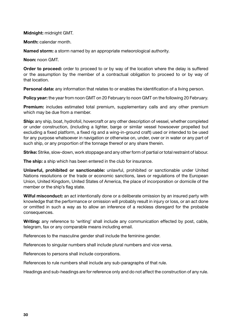#### Midnight: midnight GMT.

Month: calendar month.

Named storm: a storm named by an appropriate meteorological authority.

Noon: noon GMT.

**Order to proceed:** order to proceed to or by way of the location where the delay is suffered or the assumption by the member of a contractual obligation to proceed to or by way of that location.

Personal data: any information that relates to or enables the identification of a living person.

Policy year: the year from noon GMT on 20 February to noon GMT on the following 20 February.

**Premium:** includes estimated total premium, supplementary calls and any other premium which may be due from a member.

Ship: any ship, boat, hydrofoil, hovercraft or any other description of vessel, whether completed or under construction, (including a lighter, barge or similar vessel howsoever propelled but excluding a fixed platform, a fixed rig and a wing-in-ground craft) used or intended to be used for any purpose whatsoever in navigation or otherwise on, under, over or in water or any part of such ship, or any proportion of the tonnage thereof or any share therein.

Strike: Strike, slow-down, work stoppage and any other form of partial or total restraint of labour.

The ship: a ship which has been entered in the club for insurance.

Unlawful, prohibited or sanctionable: unlawful, prohibited or sanctionable under United Nations resolutions or the trade or economic sanctions, laws or regulations of the European Union, United Kingdom, United States of America, the place of incorporation or domicile of the member or the ship's flag state.

Wilful misconduct: an act intentionally done or a deliberate omission by an insured party with knowledge that the performance or omission will probably result in injury or loss, or an act done or omitted in such a way as to allow an inference of a reckless disregard for the probable consequences.

Writing: any reference to 'writing' shall include any communication effected by post, cable, telegram, fax or any comparable means including email.

References to the masculine gender shall include the feminine gender.

References to singular numbers shall include plural numbers and vice versa.

References to persons shall include corporations.

References to rule numbers shall include any sub-paragraphs of that rule.

Headings and sub-headings are for reference only and do not affect the construction of any rule.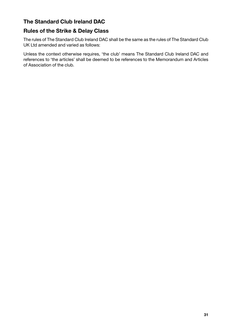#### The Standard Club Ireland DAC

#### Rules of the Strike & Delay Class

The rules of The Standard Club Ireland DAC shall be the same as the rules of The Standard Club UK Ltd amended and varied as follows:

Unless the context otherwise requires, 'the club' means The Standard Club Ireland DAC and references to 'the articles' shall be deemed to be references to the Memorandum and Articles of Association of the club.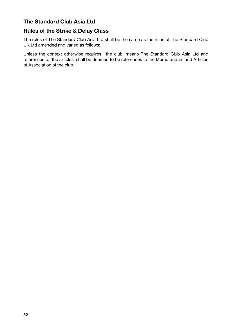#### The Standard Club Asia Ltd

#### Rules of the Strike & Delay Class

The rules of The Standard Club Asia Ltd shall be the same as the rules of The Standard Club UK Ltd amended and varied as follows:

Unless the context otherwise requires, 'the club' means The Standard Club Asia Ltd and references to 'the articles' shall be deemed to be references to the Memorandum and Articles of Association of the club.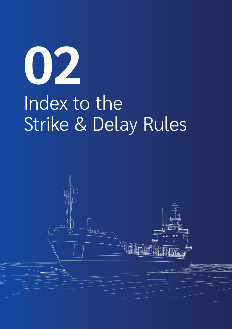# **02** Index to the Strike & Delay Rules

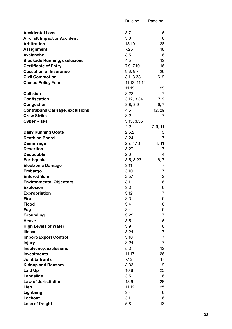|                                        | Rule no.      | Page no. |
|----------------------------------------|---------------|----------|
|                                        |               |          |
| <b>Accidental Loss</b>                 | 3.7           | 6        |
| <b>Aircraft Impact or Accident</b>     | 3.6           | 6        |
| <b>Arbitration</b>                     | 13.10         | 28       |
| Assignment                             | 7.25          | 18       |
| Avalanche                              | 3.5           | 6        |
| <b>Blockade Running, exclusions</b>    | 4.5           | 12       |
| <b>Certificate of Entry</b>            | 7.9, 7.10     | 16       |
| <b>Cessation of Insurance</b>          | 9.6, 9.7      | 20       |
| <b>Civil Commotion</b>                 | 3.1, 3.33     | 6, 9     |
| <b>Closed Policy Year</b>              | 11.13, 11.14, |          |
|                                        | 11.15         | 25       |
| <b>Collision</b>                       | 3.22          | 7        |
| Confiscation                           | 3.12, 3.34    | 7, 9     |
| Congestion                             | 3.8, 3.9      | 6, 7     |
| <b>Contraband Carriage, exclusions</b> | 4.5           | 12, 29   |
| <b>Crew Strike</b>                     | 3.21          | 7        |
| <b>Cyber Risks</b>                     | 3.13, 3.35    |          |
|                                        | 4.2           | 7, 9, 11 |
| <b>Daily Running Costs</b>             | 2.5.2         | 3        |
| Death on Board                         | 3.24          | 7        |
| Demurrage                              | 2.7, 4.1.1    | 4, 11    |
| <b>Desertion</b>                       | 3.27          | 7        |
| <b>Deductible</b>                      | 2.6           | 4        |
| <b>Earthquake</b>                      | 3.5, 3.23     | 6, 7     |
| <b>Electronic Damage</b>               | 3.11          | 7        |
| Embargo                                | 3.10          | 7        |
| <b>Entered Sum</b>                     | 2.5.1         | 3        |
| <b>Environmental Objectors</b>         | 3.1           | 6        |
| <b>Explosion</b>                       | 3.3           | 6        |
| <b>Expropriation</b>                   | 3.12          | 7        |
| <b>Fire</b>                            | 3.3           | 6        |
| <b>Flood</b>                           | 3.4           | 6        |
| Fog                                    | 3.4           | 6        |
| Grounding                              | 3.22          | 7        |
| Heave                                  | 3.5           | 6        |
| <b>High Levels of Water</b>            | 3.9           | 6        |
| <b>Illness</b>                         | 3.24          | 7        |
| <b>Import/Export Control</b>           | 3.10          | 7        |
| <b>Injury</b>                          | 3.24          | 7        |
| Insolvency, exclusions                 | 5.3           | 13       |
| <b>Investments</b>                     | 11.17         | 26       |
| <b>Joint Entrants</b>                  | 7.12          | 17       |
| <b>Kidnap and Ransom</b>               | 3.33          | 9        |
| Laid Up                                | 10.8          | 23       |
| Landslide                              | 3.5           | 6        |
| <b>Law of Jurisdiction</b>             | 13.6          | 28       |
| Lien                                   | 11.12         | 25       |
| Lightning                              | 3.4           | 6        |
| Lockout                                | 3.1           | 6        |
| Loss of freight                        | 5.8           | 13       |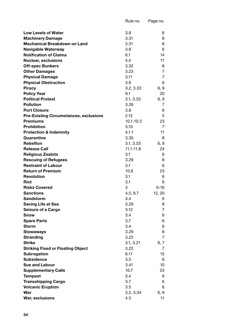|                                                           | Rule no.         | Page no. |
|-----------------------------------------------------------|------------------|----------|
|                                                           |                  |          |
| <b>Low Levels of Water</b>                                | 3.9              | 6        |
| <b>Machinery Damage</b>                                   | 3.31             | 8        |
| Mechanical Breakdown on Land                              | 3.31             | 8        |
| Navigable Waterway                                        | 3.9              | 6        |
| <b>Notification of Claims</b>                             | 6.1              | 14       |
| <b>Nuclear, exclusions</b>                                | 4.4              | 11       |
| <b>Off-spec Bunkers</b>                                   | 3.32             | 8        |
| <b>Other Damages</b>                                      | 3.23             | 7        |
| <b>Physical Damage</b>                                    | 3.11             | 7        |
| <b>Physical Obstruction</b>                               | 3.9              | 6        |
| Piracy                                                    | 3.2, 3.33        | 6, 9     |
| <b>Policy Year</b>                                        | 9.1              | 20       |
| <b>Political Protest</b>                                  | 3.1, 3.33        | 6, 9     |
| <b>Pollution</b>                                          | 3.26             | 7        |
| <b>Port Closure</b>                                       | 3.8              | 6        |
| <b>Pre-Existing Circumstances, exclusions</b>             | 2.12             | 5        |
| Premiums                                                  | 10.1-10.3        | 23       |
| <b>Prohibition</b>                                        | 3.10             | 7        |
| <b>Protection &amp; Indemnity</b>                         | 4.1.1            | 11<br>8  |
| Quarantine<br><b>Rebellion</b>                            | 3.30             |          |
|                                                           | 3.1, 3.33        | 6, 9     |
| <b>Release Call</b>                                       | 11.1-11.8<br>3.1 | 24       |
| <b>Religious Zealots</b>                                  | 3.29             | 6<br>8   |
| <b>Rescuing of Refugees</b><br><b>Restraint of Labour</b> | 3.1              | 6        |
| <b>Return of Premium</b>                                  | 10.8             | 23       |
| Revolution                                                | 3.1              | 6        |
| Riot                                                      | 3.1              | 6        |
| <b>Risks Covered</b>                                      | 3                | $6 - 10$ |
| Sanctions                                                 | 4.5, 9.7         | 12, 20   |
| <b>Sandstorm</b>                                          | 3.4              | 6        |
| Saving Life at Sea                                        | 3.29             | 8        |
| Seizure of a Cargo                                        | 3.12             | 7        |
| Snow                                                      | 3.4              | 6        |
| <b>Spare Parts</b>                                        | 3.7              | 6        |
| Storm                                                     | 3.4              | 6        |
| <b>Stowaways</b>                                          | 3.29             | 8        |
| Stranding                                                 | 3.22             | 7        |
| Strike                                                    | 3.1, 3.21        | 6, 7     |
| <b>Striking Fixed or Floating Object</b>                  | 3.22             | 7        |
| Subrogation                                               | 6.11             | 15       |
| <b>Subsidence</b>                                         | 3.5              | 6        |
| <b>Sue and Labour</b>                                     | 3.41             | 10       |
| <b>Supplementary Calls</b>                                | 10.7             | 23       |
| <b>Tempest</b>                                            | 3.4              | 6        |
| <b>Transshipping Cargo</b>                                | 3.7              | 6        |
| <b>Volcanic Eruption</b>                                  | 3.5              | 6        |
| War                                                       | 3.2, 3.34        | 6, 9     |
| War, exclusions                                           | 4.3              | 11       |